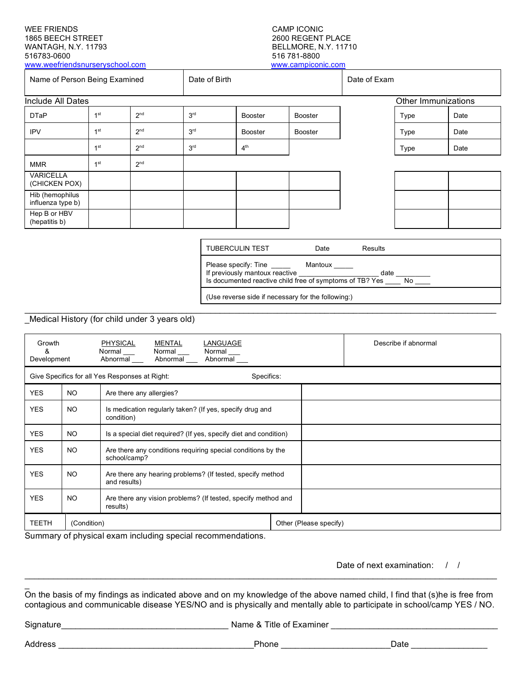## WEE FRIENDS CAMP ICONIC 1865 BEECH STREET WANTAGH, N.Y. 11793 BELLMORE, N.Y. 11710

[www.weefriendsnurseryschool.com](http://www.weefriendsnurseryschool.com/)

## 516 781-8800<br>www.campiconic.com

| Name of Person Being Examined        |                 |                 | Date of Birth   |                 |                | Date of Exam        |      |      |
|--------------------------------------|-----------------|-----------------|-----------------|-----------------|----------------|---------------------|------|------|
| Include All Dates                    |                 |                 |                 |                 |                | Other Immunizations |      |      |
| <b>DTaP</b>                          | 1 <sup>st</sup> | 2 <sup>nd</sup> | 3 <sup>rd</sup> | <b>Booster</b>  | <b>Booster</b> |                     | Type | Date |
| <b>IPV</b>                           | 1 <sup>st</sup> | 2 <sup>nd</sup> | 3 <sup>rd</sup> | <b>Booster</b>  | <b>Booster</b> |                     | Type | Date |
|                                      | 1 <sup>st</sup> | 2 <sup>nd</sup> | 3 <sup>rd</sup> | 4 <sup>th</sup> |                |                     | Type | Date |
| <b>MMR</b>                           | 1 <sup>st</sup> | 2 <sup>nd</sup> |                 |                 |                |                     |      |      |
| <b>VARICELLA</b><br>(CHICKEN POX)    |                 |                 |                 |                 |                |                     |      |      |
| Hib (hemophilus<br>influenza type b) |                 |                 |                 |                 |                |                     |      |      |
| Hep B or HBV<br>(hepatitis b)        |                 |                 |                 |                 |                |                     |      |      |

| <b>TUBERCULIN TEST</b>                                                                                             | Date    | Results |    |  |  |  |  |
|--------------------------------------------------------------------------------------------------------------------|---------|---------|----|--|--|--|--|
| Please specify: Tine<br>If previously mantoux reactive<br>Is documented reactive child free of symptoms of TB? Yes | Mantoux | date    | No |  |  |  |  |
| (Use reverse side if necessary for the following:)                                                                 |         |         |    |  |  |  |  |

Medical History (for child under 3 years old)

| Growth<br>ጼ                                                  | PHYSICAL<br>Normal<br>Abnormal<br>Development |                                                                              | MENTAL<br>Normal<br>Abnormal | LANGUAGE<br>Normal<br>Abnormal |                        |  | Describe if abnormal |
|--------------------------------------------------------------|-----------------------------------------------|------------------------------------------------------------------------------|------------------------------|--------------------------------|------------------------|--|----------------------|
| Give Specifics for all Yes Responses at Right:<br>Specifics: |                                               |                                                                              |                              |                                |                        |  |                      |
| <b>YES</b>                                                   | NO.                                           | Are there any allergies?                                                     |                              |                                |                        |  |                      |
| <b>YES</b>                                                   | NO.                                           | Is medication regularly taken? (If yes, specify drug and<br>condition)       |                              |                                |                        |  |                      |
| <b>YES</b>                                                   | NO.                                           | Is a special diet required? (If yes, specify diet and condition)             |                              |                                |                        |  |                      |
| <b>YES</b>                                                   | NO.                                           | Are there any conditions requiring special conditions by the<br>school/camp? |                              |                                |                        |  |                      |
| <b>YES</b>                                                   | NO.                                           | Are there any hearing problems? (If tested, specify method<br>and results)   |                              |                                |                        |  |                      |
| <b>YES</b>                                                   | NO.                                           | Are there any vision problems? (If tested, specify method and<br>results)    |                              |                                |                        |  |                      |
| <b>TEETH</b>                                                 | (Condition)                                   |                                                                              |                              |                                | Other (Please specify) |  |                      |

Summary of physical exam including special recommendations.

Date of next examination: / /

On the basis of my findings as indicated above and on my knowledge of the above named child, I find that (s)he is free from contagious and communicable disease YES/NO and is physically and mentally able to participate in school/camp YES / NO.

Signature\_\_\_\_\_\_\_\_\_\_\_\_\_\_\_\_\_\_\_\_\_\_\_\_\_\_\_\_\_\_\_\_\_\_\_ Name & Title of Examiner \_\_\_\_\_\_\_\_\_\_\_\_\_\_\_\_\_\_\_\_\_\_\_\_\_\_\_\_\_\_\_\_\_\_\_

Address \_\_\_\_\_\_\_\_\_\_\_\_\_\_\_\_\_\_\_\_\_\_\_\_\_\_\_\_\_\_\_\_\_\_\_\_\_\_\_\_\_Phone \_\_\_\_\_\_\_\_\_\_\_\_\_\_\_\_\_\_\_\_\_\_\_Date \_\_\_\_\_\_\_\_\_\_\_\_\_\_\_\_